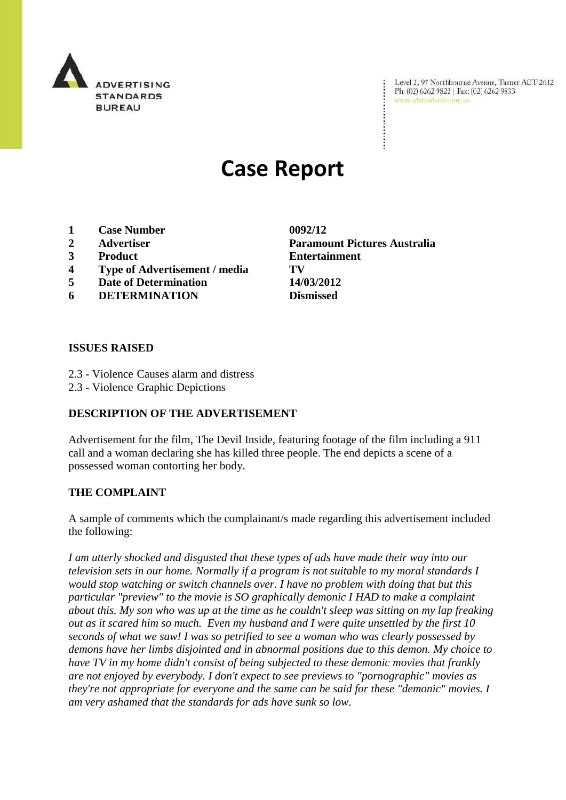

Level 2, 97 Northbourne Avenue, Turner ACT 2612 Ph: (02) 6262 9822 | Fax: (02) 6262 9833 www.adstandards.com.au

# **Case Report**

- **1 Case Number 0092/12**
- 
- 
- **4 Type of Advertisement / media TV**
- **5 Date of Determination 14/03/2012**
- **6 DETERMINATION Dismissed**

**2 Advertiser Paramount Pictures Australia 3 Product Entertainment**

#### **ISSUES RAISED**

- 2.3 Violence Causes alarm and distress
- 2.3 Violence Graphic Depictions

### **DESCRIPTION OF THE ADVERTISEMENT**

Advertisement for the film, The Devil Inside, featuring footage of the film including a 911 call and a woman declaring she has killed three people. The end depicts a scene of a possessed woman contorting her body.

#### **THE COMPLAINT**

A sample of comments which the complainant/s made regarding this advertisement included the following:

*I am utterly shocked and disgusted that these types of ads have made their way into our television sets in our home. Normally if a program is not suitable to my moral standards I would stop watching or switch channels over. I have no problem with doing that but this particular "preview" to the movie is SO graphically demonic I HAD to make a complaint about this. My son who was up at the time as he couldn't sleep was sitting on my lap freaking out as it scared him so much. Even my husband and I were quite unsettled by the first 10 seconds of what we saw! I was so petrified to see a woman who was clearly possessed by demons have her limbs disjointed and in abnormal positions due to this demon. My choice to have TV in my home didn't consist of being subjected to these demonic movies that frankly are not enjoyed by everybody. I don't expect to see previews to "pornographic" movies as they're not appropriate for everyone and the same can be said for these "demonic" movies. I am very ashamed that the standards for ads have sunk so low.*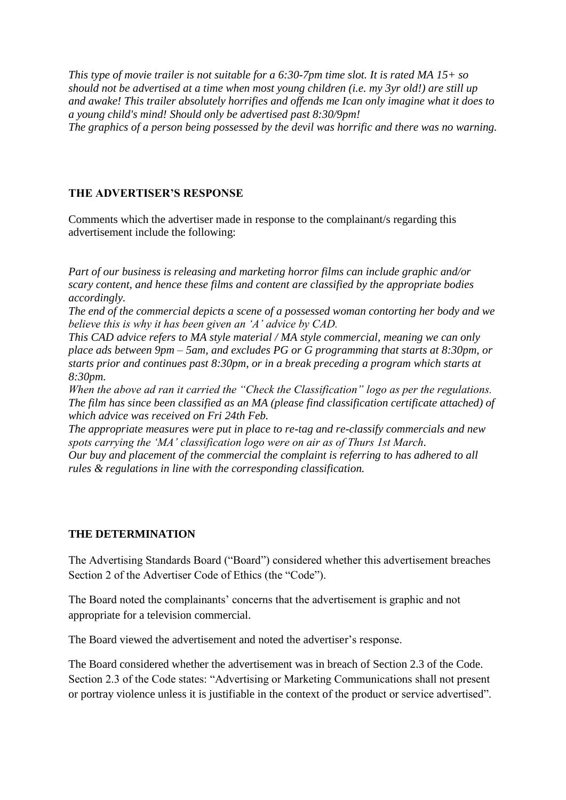*This type of movie trailer is not suitable for a 6:30-7pm time slot. It is rated MA 15+ so should not be advertised at a time when most young children (i.e. my 3yr old!) are still up and awake! This trailer absolutely horrifies and offends me Ican only imagine what it does to a young child's mind! Should only be advertised past 8:30/9pm! The graphics of a person being possessed by the devil was horrific and there was no warning.*

## **THE ADVERTISER'S RESPONSE**

Comments which the advertiser made in response to the complainant/s regarding this advertisement include the following:

*Part of our business is releasing and marketing horror films can include graphic and/or scary content, and hence these films and content are classified by the appropriate bodies accordingly.* 

*The end of the commercial depicts a scene of a possessed woman contorting her body and we believe this is why it has been given an "A" advice by CAD.* 

*This CAD advice refers to MA style material / MA style commercial, meaning we can only place ads between 9pm – 5am, and excludes PG or G programming that starts at 8:30pm, or starts prior and continues past 8:30pm, or in a break preceding a program which starts at 8:30pm.*

*When the above ad ran it carried the "Check the Classification" logo as per the regulations. The film has since been classified as an MA (please find classification certificate attached) of which advice was received on Fri 24th Feb.* 

*The appropriate measures were put in place to re-tag and re-classify commercials and new spots carrying the "MA" classification logo were on air as of Thurs 1st March. Our buy and placement of the commercial the complaint is referring to has adhered to all rules & regulations in line with the corresponding classification.*

## **THE DETERMINATION**

The Advertising Standards Board ("Board") considered whether this advertisement breaches Section 2 of the Advertiser Code of Ethics (the "Code").

The Board noted the complainants' concerns that the advertisement is graphic and not appropriate for a television commercial.

The Board viewed the advertisement and noted the advertiser's response.

The Board considered whether the advertisement was in breach of Section 2.3 of the Code. Section 2.3 of the Code states: "Advertising or Marketing Communications shall not present or portray violence unless it is justifiable in the context of the product or service advertised".